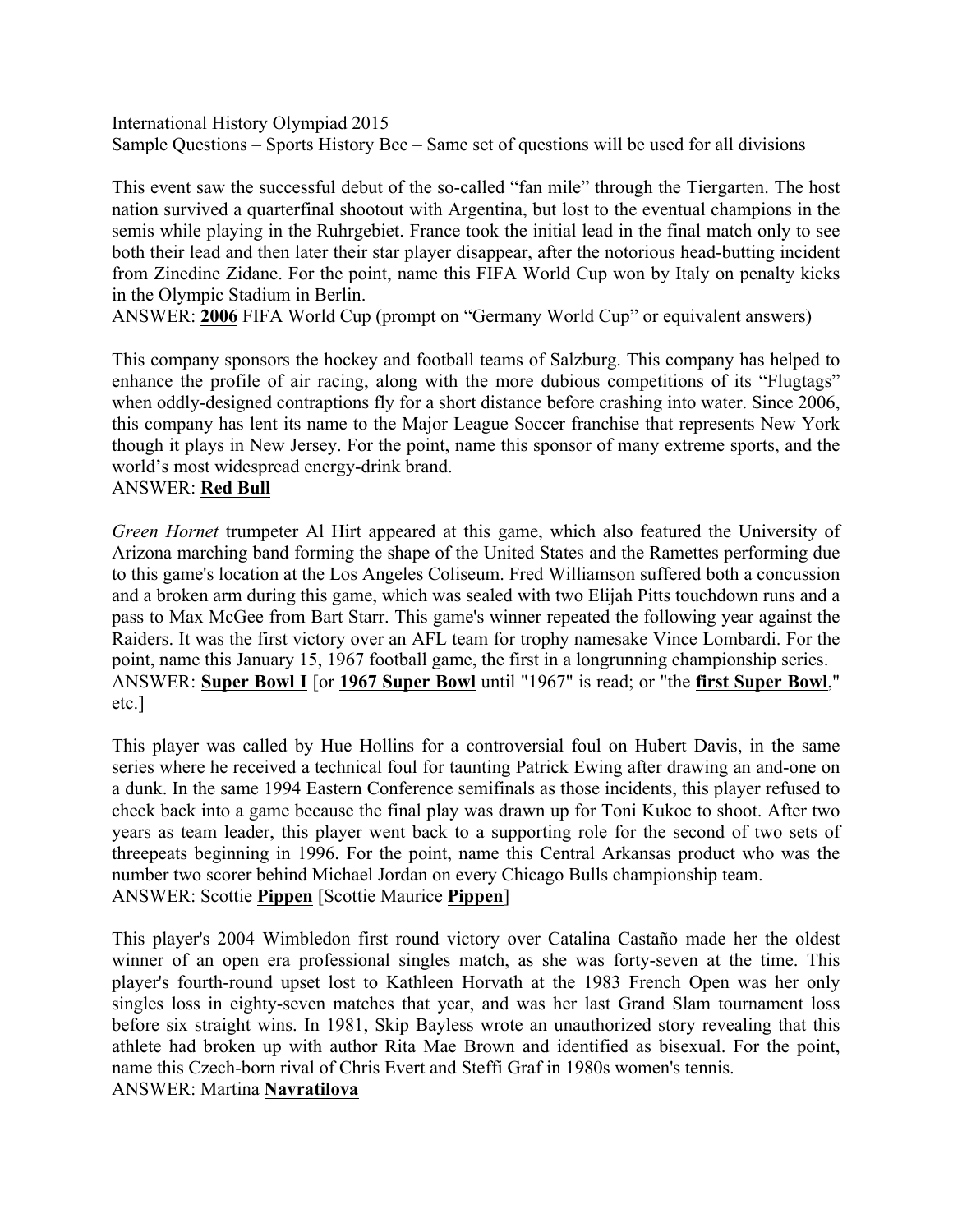International History Olympiad 2015 Sample Questions – Sports History Bee – Same set of questions will be used for all divisions

This event saw the successful debut of the so-called "fan mile" through the Tiergarten. The host nation survived a quarterfinal shootout with Argentina, but lost to the eventual champions in the semis while playing in the Ruhrgebiet. France took the initial lead in the final match only to see both their lead and then later their star player disappear, after the notorious head-butting incident from Zinedine Zidane. For the point, name this FIFA World Cup won by Italy on penalty kicks in the Olympic Stadium in Berlin.

ANSWER: **2006** FIFA World Cup (prompt on "Germany World Cup" or equivalent answers)

This company sponsors the hockey and football teams of Salzburg. This company has helped to enhance the profile of air racing, along with the more dubious competitions of its "Flugtags" when oddly-designed contraptions fly for a short distance before crashing into water. Since 2006, this company has lent its name to the Major League Soccer franchise that represents New York though it plays in New Jersey. For the point, name this sponsor of many extreme sports, and the world's most widespread energy-drink brand.

## ANSWER: **Red Bull**

*Green Hornet* trumpeter Al Hirt appeared at this game, which also featured the University of Arizona marching band forming the shape of the United States and the Ramettes performing due to this game's location at the Los Angeles Coliseum. Fred Williamson suffered both a concussion and a broken arm during this game, which was sealed with two Elijah Pitts touchdown runs and a pass to Max McGee from Bart Starr. This game's winner repeated the following year against the Raiders. It was the first victory over an AFL team for trophy namesake Vince Lombardi. For the point, name this January 15, 1967 football game, the first in a longrunning championship series. ANSWER: **Super Bowl I** [or **1967 Super Bowl** until "1967" is read; or "the **first Super Bowl**," etc.]

This player was called by Hue Hollins for a controversial foul on Hubert Davis, in the same series where he received a technical foul for taunting Patrick Ewing after drawing an and-one on a dunk. In the same 1994 Eastern Conference semifinals as those incidents, this player refused to check back into a game because the final play was drawn up for Toni Kukoc to shoot. After two years as team leader, this player went back to a supporting role for the second of two sets of threepeats beginning in 1996. For the point, name this Central Arkansas product who was the number two scorer behind Michael Jordan on every Chicago Bulls championship team. ANSWER: Scottie **Pippen** [Scottie Maurice **Pippen**]

This player's 2004 Wimbledon first round victory over Catalina Castaño made her the oldest winner of an open era professional singles match, as she was forty-seven at the time. This player's fourth-round upset lost to Kathleen Horvath at the 1983 French Open was her only singles loss in eighty-seven matches that year, and was her last Grand Slam tournament loss before six straight wins. In 1981, Skip Bayless wrote an unauthorized story revealing that this athlete had broken up with author Rita Mae Brown and identified as bisexual. For the point, name this Czech-born rival of Chris Evert and Steffi Graf in 1980s women's tennis. ANSWER: Martina **Navratilova**